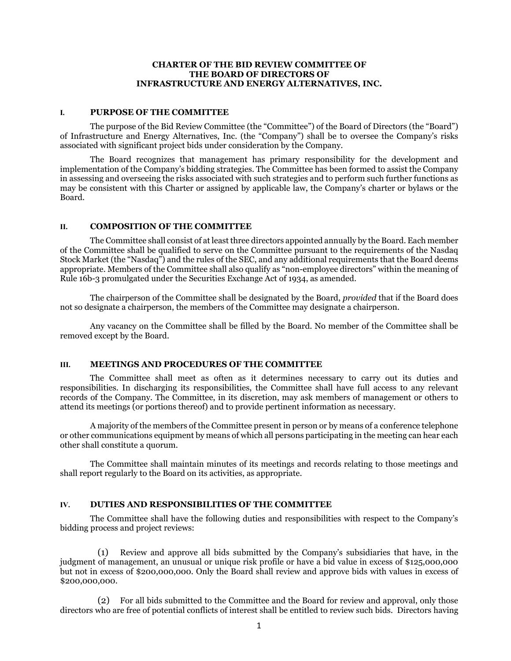# **CHARTER OF THE BID REVIEW COMMITTEE OF THE BOARD OF DIRECTORS OF INFRASTRUCTURE AND ENERGY ALTERNATIVES, INC.**

## **I. PURPOSE OF THE COMMITTEE**

The purpose of the Bid Review Committee (the "Committee") of the Board of Directors (the "Board") of Infrastructure and Energy Alternatives, Inc. (the "Company") shall be to oversee the Company's risks associated with significant project bids under consideration by the Company.

The Board recognizes that management has primary responsibility for the development and implementation of the Company's bidding strategies. The Committee has been formed to assist the Company in assessing and overseeing the risks associated with such strategies and to perform such further functions as may be consistent with this Charter or assigned by applicable law, the Company's charter or bylaws or the Board.

#### **II. COMPOSITION OF THE COMMITTEE**

The Committee shall consist of at least three directors appointed annually by the Board. Each member of the Committee shall be qualified to serve on the Committee pursuant to the requirements of the Nasdaq Stock Market (the "Nasdaq") and the rules of the SEC, and any additional requirements that the Board deems appropriate. Members of the Committee shall also qualify as "non-employee directors" within the meaning of Rule 16b-3 promulgated under the Securities Exchange Act of 1934, as amended.

The chairperson of the Committee shall be designated by the Board, *provided* that if the Board does not so designate a chairperson, the members of the Committee may designate a chairperson.

Any vacancy on the Committee shall be filled by the Board. No member of the Committee shall be removed except by the Board.

#### **III. MEETINGS AND PROCEDURES OF THE COMMITTEE**

The Committee shall meet as often as it determines necessary to carry out its duties and responsibilities. In discharging its responsibilities, the Committee shall have full access to any relevant records of the Company. The Committee, in its discretion, may ask members of management or others to attend its meetings (or portions thereof) and to provide pertinent information as necessary.

A majority of the members of the Committee present in person or by means of a conference telephone or other communications equipment by means of which all persons participating in the meeting can hear each other shall constitute a quorum.

The Committee shall maintain minutes of its meetings and records relating to those meetings and shall report regularly to the Board on its activities, as appropriate.

## **IV. DUTIES AND RESPONSIBILITIES OF THE COMMITTEE**

The Committee shall have the following duties and responsibilities with respect to the Company's bidding process and project reviews:

(1) Review and approve all bids submitted by the Company's subsidiaries that have, in the judgment of management, an unusual or unique risk profile or have a bid value in excess of \$125,000,000 but not in excess of \$200,000,000. Only the Board shall review and approve bids with values in excess of \$200,000,000.

(2) For all bids submitted to the Committee and the Board for review and approval, only those directors who are free of potential conflicts of interest shall be entitled to review such bids. Directors having